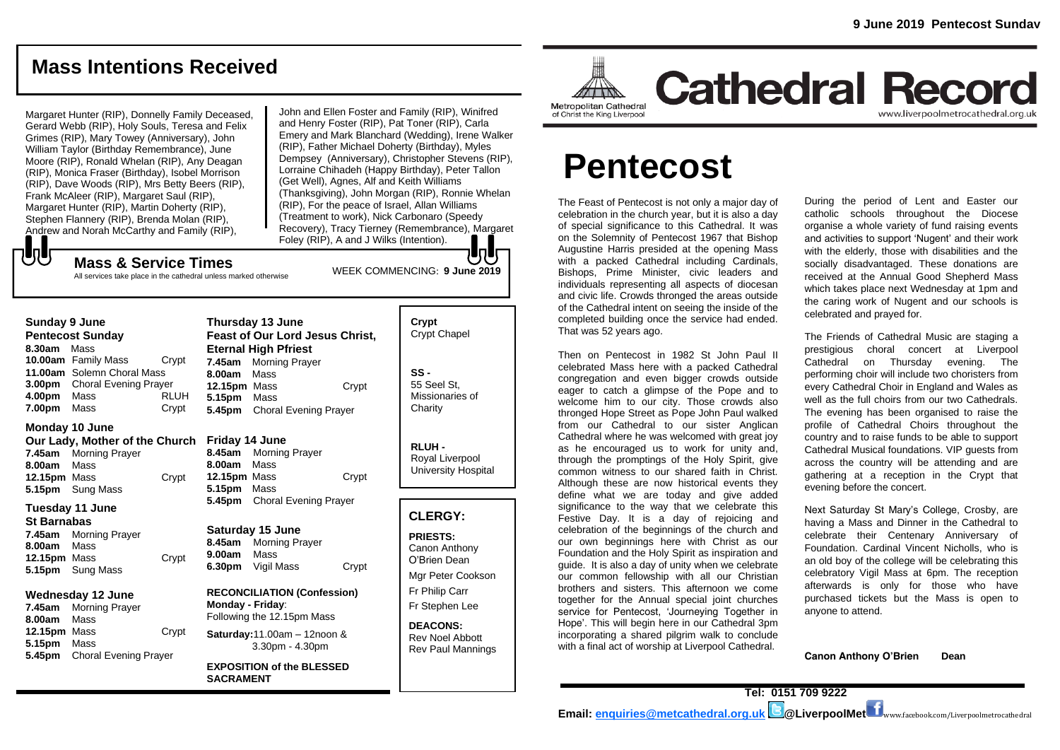## **Mass Intentions Received**

Margaret Hunter (RIP), Donnelly Family Deceased, Gerard Webb (RIP), Holy Souls, Teresa and Felix Grimes (RIP), Mary Towey (Anniversary), John William Taylor (Birthday Remembrance), June Moore (RIP), Ronald Whelan (RIP), Any Deagan (RIP), Monica Fraser (Birthday), Isobel Morrison (RIP), Dave Woods (RIP), Mrs Betty Beers (RIP), Frank McAleer (RIP), Margaret Saul (RIP), Margaret Hunter (RIP), Martin Doherty (RIP), Stephen Flannery (RIP), Brenda Molan (RIP), Andrew and Norah McCarthy and Family (RIP),

WEEK COMMENCING: **9 June 2019** John and Ellen Foster and Family (RIP), Winifred and Henry Foster (RIP), Pat Toner (RIP), Carla Emery and Mark Blanchard (Wedding), Irene Walker (RIP), Father Michael Doherty (Birthday), Myles Dempsey (Anniversary), Christopher Stevens (RIP), Lorraine Chihadeh (Happy Birthday), Peter Tallon (Get Well), Agnes, Alf and Keith Williams (Thanksgiving), John Morgan (RIP), Ronnie Whelan (RIP), For the peace of Israel, Allan Williams (Treatment to work), Nick Carbonaro (Speedy Recovery), Tracy Tierney (Remembrance), Margaret Foley (RIP), A and J Wilks (Intention).

#### もし **Mass & Service Times**

All services take place in the cathedral unless marked otherwise

| Sunday 9 June<br><b>Pentecost Sunday</b><br>8.30am Mass<br>10.00am Family Mass<br>Crypt<br>11.00am Solemn Choral Mass |                                                                              |                                                                                      | Thursday 13 June<br>Feast of Our Lord Jesus Christ,<br><b>Eternal High Pfriest</b><br>7.45am<br><b>Morning Prayer</b><br>Mass<br>8.00am |                                                                 |                                  | Crypt<br><b>Crypt Chapel</b><br>$SS -$                                                  |
|-----------------------------------------------------------------------------------------------------------------------|------------------------------------------------------------------------------|--------------------------------------------------------------------------------------|-----------------------------------------------------------------------------------------------------------------------------------------|-----------------------------------------------------------------|----------------------------------|-----------------------------------------------------------------------------------------|
|                                                                                                                       | 3.00pm Choral Evening Prayer                                                 |                                                                                      | 12.15pm Mass                                                                                                                            |                                                                 | Crypt                            | 55 Seel St.                                                                             |
| 4.00pm<br>7.00pm                                                                                                      | Mass<br>Mass                                                                 | RLUH<br>Crypt                                                                        | 5.15pm<br>5.45pm                                                                                                                        | Mass<br><b>Choral Evening Prayer</b>                            |                                  | Missionaries of<br>Charity                                                              |
| Monday 10 June                                                                                                        |                                                                              |                                                                                      |                                                                                                                                         |                                                                 |                                  |                                                                                         |
| 8.00am<br>12.15pm Mass<br>5.15pm                                                                                      | Our Lady, Mother of the Church<br>7.45am Morning Prayer<br>Mass<br>Sung Mass | Crypt                                                                                | Friday 14 June<br>8.45am<br>8.00am<br>12.15pm Mass<br>5.15pm                                                                            | <b>Morning Prayer</b><br>Mass<br>Mass                           | Crypt                            | RLUH-<br>Royal Liverpool<br>University Hospital                                         |
| Tuesday 11 June                                                                                                       |                                                                              |                                                                                      | 5.45pm<br>Choral Evening Prayer                                                                                                         |                                                                 |                                  |                                                                                         |
| <b>St Barnabas</b><br>8.00am<br>12.15pm Mass<br>5.15pm                                                                | 7.45am Morning Prayer<br>Mass<br>Sung Mass                                   | Crypt                                                                                | 8.45am<br>9.00am<br>6.30pm                                                                                                              | Saturday 15 June<br><b>Morning Prayer</b><br>Mass<br>Vigil Mass | Crypt                            | <b>CLERGY:</b><br><b>PRIESTS:</b><br>Canon Anthony<br>O'Brien Dean<br>Mgr Peter Cookson |
| Wednesday 12 June<br>7.45am Morning Prayer<br>8.00am<br>Mass                                                          |                                                                              | <b>RECONCILIATION (Confession)</b><br>Monday - Friday:<br>Following the 12.15pm Mass |                                                                                                                                         |                                                                 | Fr Philip Carr<br>Fr Stephen Lee |                                                                                         |
| 12.15pm Mass<br>5.15pm<br>5.45pm                                                                                      | Mass<br><b>Choral Evening Prayer</b>                                         | Crypt                                                                                | Saturday: $11.00am - 12n$ oon &<br>$3.30pm - 4.30pm$                                                                                    |                                                                 |                                  | <b>DEACONS:</b><br><b>Rev Noel Abbott</b><br><b>Rev Paul Mannings</b>                   |
|                                                                                                                       |                                                                              |                                                                                      | <b>SACRAMENT</b>                                                                                                                        | <b>EXPOSITION of the BLESSED</b>                                |                                  |                                                                                         |

6.00pm – 7.00pm on Tuesday





**Cathedral Record** www.liverpoolmetrocathedral.org.uk

# **Pentecost**

The Feast of Pentecost is not only a major day of celebration in the church year, but it is also a day of special significance to this Cathedral. It was on the Solemnity of Pentecost 1967 that Bishop Augustine Harris presided at the opening Mass with a packed Cathedral including Cardinals. Bishops, Prime Minister, civic leaders and individuals representing all aspects of diocesan and civic life. Crowds thronged the areas outside of the Cathedral intent on seeing the inside of the completed building once the service had ended. That was 52 years ago.

Then on Pentecost in 1982 St John Paul II celebrated Mass here with a packed Cathedral congregation and even bigger crowds outside eager to catch a glimpse of the Pope and to welcome him to our city. Those crowds also thronged Hope Street as Pope John Paul walked from our Cathedral to our sister Anglican Cathedral where he was welcomed with great joy as he encouraged us to work for unity and, through the promptings of the Holy Spirit, give common witness to our shared faith in Christ. Although these are now historical events they define what we are today and give added significance to the way that we celebrate this Festive Day. It is a day of rejoicing and celebration of the beginnings of the church and our own beginnings here with Christ as our Foundation and the Holy Spirit as inspiration and guide. It is also a day of unity when we celebrate our common fellowship with all our Christian brothers and sisters. This afternoon we come together for the Annual special joint churches service for Pentecost, 'Journeying Together in Hope'. This will begin here in our Cathedral 3pm incorporating a shared pilgrim walk to conclude with a final act of worship at Liverpool Cathedral.

During the period of Lent and Easter our catholic schools throughout the Diocese organise a whole variety of fund raising events and activities to support 'Nugent' and their work with the elderly, those with disabilities and the socially disadvantaged. These donations are received at the Annual Good Shepherd Mass which takes place next Wednesday at 1pm and the caring work of Nugent and our schools is celebrated and prayed for.

The Friends of Cathedral Music are staging a prestigious choral concert at Liverpool Cathedral on Thursday evening. The performing choir will include two choristers from every Cathedral Choir in England and Wales as well as the full choirs from our two Cathedrals. The evening has been organised to raise the profile of Cathedral Choirs throughout the country and to raise funds to be able to support Cathedral Musical foundations. VIP guests from across the country will be attending and are gathering at a reception in the Crypt that evening before the concert.

Next Saturday St Mary's College, Crosby, are having a Mass and Dinner in the Cathedral to celebrate their Centenary Anniversary of Foundation. Cardinal Vincent Nicholls, who is an old boy of the college will be celebrating this celebratory Vigil Mass at 6pm. The reception afterwards is only for those who have purchased tickets but the Mass is open to anyone to attend.

**Canon Anthony O'Brien Dean**